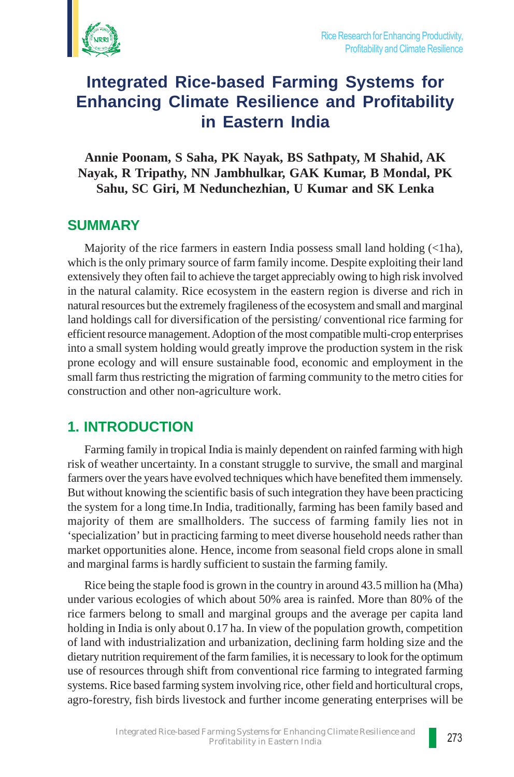

# **Integrated Rice-based Farming Systems for Enhancing Climate Resilience and Profitability in Eastern India**

**Annie Poonam, S Saha, PK Nayak, BS Sathpaty, M Shahid, AK Nayak, R Tripathy, NN Jambhulkar, GAK Kumar, B Mondal, PK Sahu, SC Giri, M Nedunchezhian, U Kumar and SK Lenka**

### **SUMMARY**

Majority of the rice farmers in eastern India possess small land holding  $(\langle 1ha,$ which is the only primary source of farm family income. Despite exploiting their land extensively they often fail to achieve the target appreciably owing to high risk involved in the natural calamity. Rice ecosystem in the eastern region is diverse and rich in natural resources but the extremely fragileness of the ecosystem and small and marginal land holdings call for diversification of the persisting/ conventional rice farming for efficient resource management. Adoption of the most compatible multi-crop enterprises into a small system holding would greatly improve the production system in the risk prone ecology and will ensure sustainable food, economic and employment in the small farm thus restricting the migration of farming community to the metro cities for construction and other non-agriculture work.

## **1. INTRODUCTION**

Farming family in tropical India is mainly dependent on rainfed farming with high risk of weather uncertainty. In a constant struggle to survive, the small and marginal farmers over the years have evolved techniques which have benefited them immensely. But without knowing the scientific basis of such integration they have been practicing the system for a long time.In India, traditionally, farming has been family based and majority of them are smallholders. The success of farming family lies not in 'specialization' but in practicing farming to meet diverse household needs rather than market opportunities alone. Hence, income from seasonal field crops alone in small and marginal farms is hardly sufficient to sustain the farming family.

Rice being the staple food is grown in the country in around 43.5 million ha (Mha) under various ecologies of which about 50% area is rainfed. More than 80% of the rice farmers belong to small and marginal groups and the average per capita land holding in India is only about 0.17 ha. In view of the population growth, competition of land with industrialization and urbanization, declining farm holding size and the dietary nutrition requirement of the farm families, it is necessary to look for the optimum use of resources through shift from conventional rice farming to integrated farming systems. Rice based farming system involving rice, other field and horticultural crops, agro-forestry, fish birds livestock and further income generating enterprises will be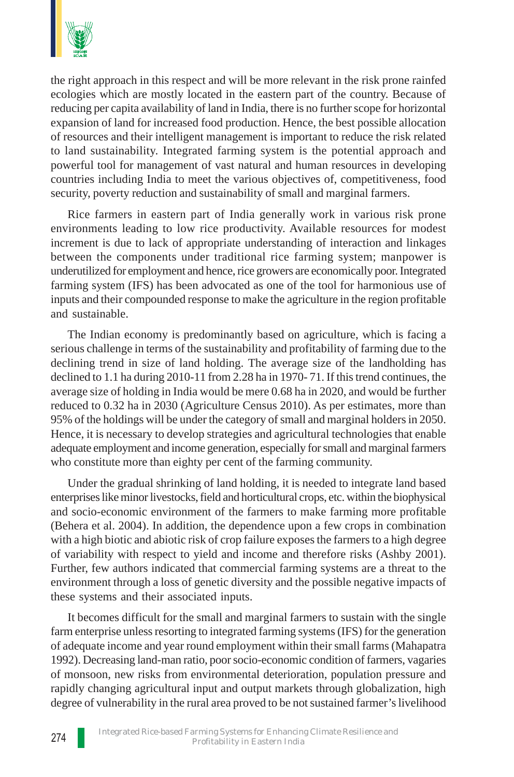

the right approach in this respect and will be more relevant in the risk prone rainfed ecologies which are mostly located in the eastern part of the country. Because of reducing per capita availability of land in India, there is no further scope for horizontal expansion of land for increased food production. Hence, the best possible allocation of resources and their intelligent management is important to reduce the risk related to land sustainability. Integrated farming system is the potential approach and powerful tool for management of vast natural and human resources in developing countries including India to meet the various objectives of, competitiveness, food security, poverty reduction and sustainability of small and marginal farmers.

Rice farmers in eastern part of India generally work in various risk prone environments leading to low rice productivity. Available resources for modest increment is due to lack of appropriate understanding of interaction and linkages between the components under traditional rice farming system; manpower is underutilized for employment and hence, rice growers are economically poor. Integrated farming system (IFS) has been advocated as one of the tool for harmonious use of inputs and their compounded response to make the agriculture in the region profitable and sustainable.

The Indian economy is predominantly based on agriculture, which is facing a serious challenge in terms of the sustainability and profitability of farming due to the declining trend in size of land holding. The average size of the landholding has declined to 1.1 ha during 2010-11 from 2.28 ha in 1970- 71. If this trend continues, the average size of holding in India would be mere 0.68 ha in 2020, and would be further reduced to 0.32 ha in 2030 (Agriculture Census 2010). As per estimates, more than 95% of the holdings will be under the category of small and marginal holders in 2050. Hence, it is necessary to develop strategies and agricultural technologies that enable adequate employment and income generation, especially for small and marginal farmers who constitute more than eighty per cent of the farming community.

Under the gradual shrinking of land holding, it is needed to integrate land based enterprises like minor livestocks, field and horticultural crops, etc. within the biophysical and socio-economic environment of the farmers to make farming more profitable (Behera et al. 2004). In addition, the dependence upon a few crops in combination with a high biotic and abiotic risk of crop failure exposes the farmers to a high degree of variability with respect to yield and income and therefore risks (Ashby 2001). Further, few authors indicated that commercial farming systems are a threat to the environment through a loss of genetic diversity and the possible negative impacts of these systems and their associated inputs.

It becomes difficult for the small and marginal farmers to sustain with the single farm enterprise unless resorting to integrated farming systems (IFS) for the generation of adequate income and year round employment within their small farms (Mahapatra 1992). Decreasing land-man ratio, poor socio-economic condition of farmers, vagaries of monsoon, new risks from environmental deterioration, population pressure and rapidly changing agricultural input and output markets through globalization, high degree of vulnerability in the rural area proved to be not sustained farmer's livelihood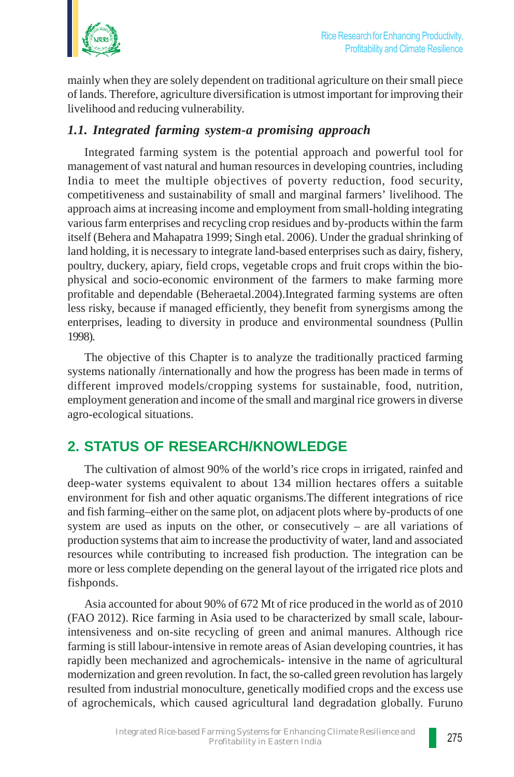

mainly when they are solely dependent on traditional agriculture on their small piece of lands. Therefore, agriculture diversification is utmost important for improving their livelihood and reducing vulnerability.

### *1.1. Integrated farming system-a promising approach*

Integrated farming system is the potential approach and powerful tool for management of vast natural and human resources in developing countries, including India to meet the multiple objectives of poverty reduction, food security, competitiveness and sustainability of small and marginal farmers' livelihood. The approach aims at increasing income and employment from small-holding integrating various farm enterprises and recycling crop residues and by-products within the farm itself (Behera and Mahapatra 1999; Singh etal. 2006). Under the gradual shrinking of land holding, it is necessary to integrate land-based enterprises such as dairy, fishery, poultry, duckery, apiary, field crops, vegetable crops and fruit crops within the biophysical and socio-economic environment of the farmers to make farming more profitable and dependable (Beheraetal.2004).Integrated farming systems are often less risky, because if managed efficiently, they benefit from synergisms among the enterprises, leading to diversity in produce and environmental soundness (Pullin 1998).

The objective of this Chapter is to analyze the traditionally practiced farming systems nationally /internationally and how the progress has been made in terms of different improved models/cropping systems for sustainable, food, nutrition, employment generation and income of the small and marginal rice growers in diverse agro-ecological situations.

# **2. STATUS OF RESEARCH/KNOWLEDGE**

The cultivation of almost 90% of the world's rice crops in irrigated, rainfed and deep-water systems equivalent to about 134 million hectares offers a suitable environment for fish and other aquatic organisms.The different integrations of rice and fish farming–either on the same plot, on adjacent plots where by-products of one system are used as inputs on the other, or consecutively – are all variations of production systems that aim to increase the productivity of water, land and associated resources while contributing to increased fish production. The integration can be more or less complete depending on the general layout of the irrigated rice plots and fishponds.

Asia accounted for about 90% of 672 Mt of rice produced in the world as of 2010 (FAO 2012). Rice farming in Asia used to be characterized by small scale, labourintensiveness and on-site recycling of green and animal manures. Although rice farming is still labour-intensive in remote areas of Asian developing countries, it has rapidly been mechanized and agrochemicals- intensive in the name of agricultural modernization and green revolution. In fact, the so-called green revolution has largely resulted from industrial monoculture, genetically modified crops and the excess use of agrochemicals, which caused agricultural land degradation globally. Furuno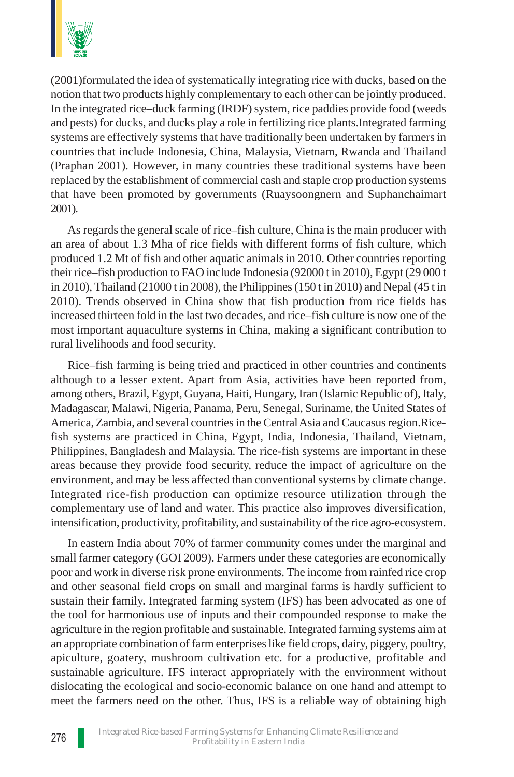

(2001)formulated the idea of systematically integrating rice with ducks, based on the notion that two products highly complementary to each other can be jointly produced. In the integrated rice–duck farming (IRDF) system, rice paddies provide food (weeds and pests) for ducks, and ducks play a role in fertilizing rice plants.Integrated farming systems are effectively systems that have traditionally been undertaken by farmers in countries that include Indonesia, China, Malaysia, Vietnam, Rwanda and Thailand (Praphan 2001). However, in many countries these traditional systems have been replaced by the establishment of commercial cash and staple crop production systems that have been promoted by governments (Ruaysoongnern and Suphanchaimart 2001).

As regards the general scale of rice–fish culture, China is the main producer with an area of about 1.3 Mha of rice fields with different forms of fish culture, which produced 1.2 Mt of fish and other aquatic animals in 2010. Other countries reporting their rice–fish production to FAO include Indonesia (92000 t in 2010), Egypt (29 000 t in 2010), Thailand (21000 t in 2008), the Philippines (150 t in 2010) and Nepal (45 t in 2010). Trends observed in China show that fish production from rice fields has increased thirteen fold in the last two decades, and rice–fish culture is now one of the most important aquaculture systems in China, making a significant contribution to rural livelihoods and food security.

Rice–fish farming is being tried and practiced in other countries and continents although to a lesser extent. Apart from Asia, activities have been reported from, among others, Brazil, Egypt, Guyana, Haiti, Hungary, Iran (Islamic Republic of), Italy, Madagascar, Malawi, Nigeria, Panama, Peru, Senegal, Suriname, the United States of America, Zambia, and several countries in the Central Asia and Caucasus region.Ricefish systems are practiced in China, Egypt, India, Indonesia, Thailand, Vietnam, Philippines, Bangladesh and Malaysia. The rice-fish systems are important in these areas because they provide food security, reduce the impact of agriculture on the environment, and may be less affected than conventional systems by climate change. Integrated rice-fish production can optimize resource utilization through the complementary use of land and water. This practice also improves diversification, intensification, productivity, profitability, and sustainability of the rice agro-ecosystem.

In eastern India about 70% of farmer community comes under the marginal and small farmer category (GOI 2009). Farmers under these categories are economically poor and work in diverse risk prone environments. The income from rainfed rice crop and other seasonal field crops on small and marginal farms is hardly sufficient to sustain their family. Integrated farming system (IFS) has been advocated as one of the tool for harmonious use of inputs and their compounded response to make the agriculture in the region profitable and sustainable. Integrated farming systems aim at an appropriate combination of farm enterprises like field crops, dairy, piggery, poultry, apiculture, goatery, mushroom cultivation etc. for a productive, profitable and sustainable agriculture. IFS interact appropriately with the environment without dislocating the ecological and socio-economic balance on one hand and attempt to meet the farmers need on the other. Thus, IFS is a reliable way of obtaining high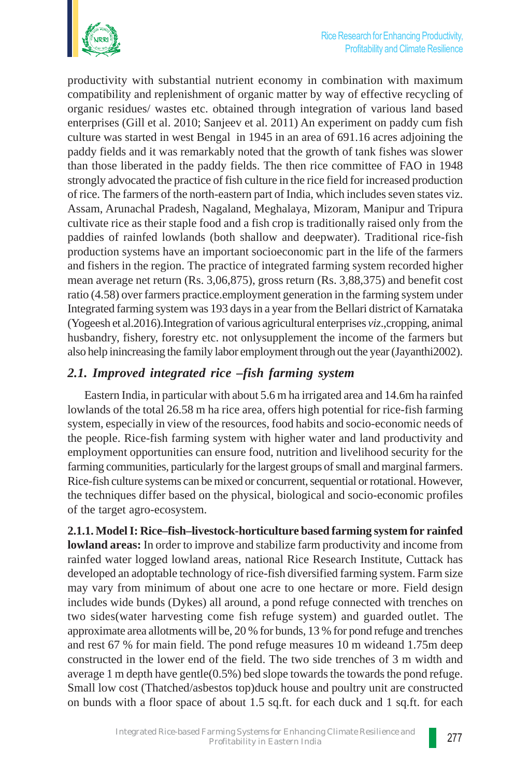

productivity with substantial nutrient economy in combination with maximum compatibility and replenishment of organic matter by way of effective recycling of organic residues/ wastes etc. obtained through integration of various land based enterprises (Gill et al. 2010; Sanjeev et al. 2011) An experiment on paddy cum fish culture was started in west Bengal in 1945 in an area of 691.16 acres adjoining the paddy fields and it was remarkably noted that the growth of tank fishes was slower than those liberated in the paddy fields. The then rice committee of FAO in 1948 strongly advocated the practice of fish culture in the rice field for increased production of rice. The farmers of the north-eastern part of India, which includes seven states viz. Assam, Arunachal Pradesh, Nagaland, Meghalaya, Mizoram, Manipur and Tripura cultivate rice as their staple food and a fish crop is traditionally raised only from the paddies of rainfed lowlands (both shallow and deepwater). Traditional rice-fish production systems have an important socioeconomic part in the life of the farmers and fishers in the region. The practice of integrated farming system recorded higher mean average net return (Rs. 3,06,875), gross return (Rs. 3,88,375) and benefit cost ratio (4.58) over farmers practice.employment generation in the farming system under Integrated farming system was 193 days in a year from the Bellari district of Karnataka (Yogeesh et al.2016).Integration of various agricultural enterprises *viz*.,cropping, animal husbandry, fishery, forestry etc. not onlysupplement the income of the farmers but also help inincreasing the family labor employment through out the year (Jayanthi2002).

### *2.1. Improved integrated rice –fish farming system*

Eastern India, in particular with about 5.6 m ha irrigated area and 14.6m ha rainfed lowlands of the total 26.58 m ha rice area, offers high potential for rice-fish farming system, especially in view of the resources, food habits and socio-economic needs of the people. Rice-fish farming system with higher water and land productivity and employment opportunities can ensure food, nutrition and livelihood security for the farming communities, particularly for the largest groups of small and marginal farmers. Rice-fish culture systems can be mixed or concurrent, sequential or rotational. However, the techniques differ based on the physical, biological and socio-economic profiles of the target agro-ecosystem.

**2.1.1. Model I: Rice–fish–livestock-horticulture based farming system for rainfed lowland areas:** In order to improve and stabilize farm productivity and income from rainfed water logged lowland areas, national Rice Research Institute, Cuttack has developed an adoptable technology of rice-fish diversified farming system. Farm size may vary from minimum of about one acre to one hectare or more. Field design includes wide bunds (Dykes) all around, a pond refuge connected with trenches on two sides(water harvesting come fish refuge system) and guarded outlet. The approximate area allotments will be, 20 % for bunds, 13 % for pond refuge and trenches and rest 67 % for main field. The pond refuge measures 10 m wideand 1.75m deep constructed in the lower end of the field. The two side trenches of 3 m width and average 1 m depth have gentle(0.5%) bed slope towards the towards the pond refuge. Small low cost (Thatched/asbestos top)duck house and poultry unit are constructed on bunds with a floor space of about 1.5 sq.ft. for each duck and 1 sq.ft. for each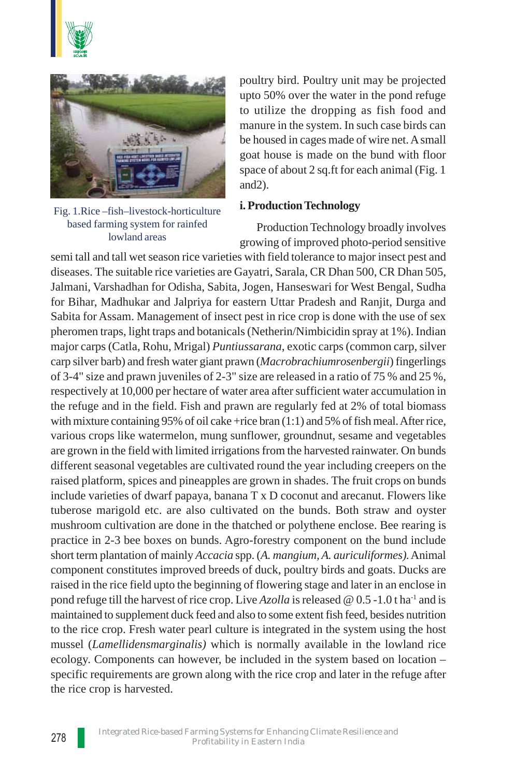



Fig. 1.Rice –fish–livestock-horticulture based farming system for rainfed lowland areas

poultry bird. Poultry unit may be projected upto 50% over the water in the pond refuge to utilize the dropping as fish food and manure in the system. In such case birds can be housed in cages made of wire net. A small goat house is made on the bund with floor space of about 2 sq.ft for each animal (Fig. 1 and2).

#### **i. Production Technology**

Production Technology broadly involves growing of improved photo-period sensitive

semi tall and tall wet season rice varieties with field tolerance to major insect pest and diseases. The suitable rice varieties are Gayatri, Sarala, CR Dhan 500, CR Dhan 505, Jalmani, Varshadhan for Odisha, Sabita, Jogen, Hanseswari for West Bengal, Sudha for Bihar, Madhukar and Jalpriya for eastern Uttar Pradesh and Ranjit, Durga and Sabita for Assam. Management of insect pest in rice crop is done with the use of sex pheromen traps, light traps and botanicals (Netherin/Nimbicidin spray at 1%). Indian major carps (Catla, Rohu, Mrigal) *Puntiussarana*, exotic carps (common carp, silver carp silver barb) and fresh water giant prawn (*Macrobrachiumrosenbergii*) fingerlings of 3-4" size and prawn juveniles of 2-3" size are released in a ratio of 75 % and 25 %, respectively at 10,000 per hectare of water area after sufficient water accumulation in the refuge and in the field. Fish and prawn are regularly fed at 2% of total biomass with mixture containing 95% of oil cake +rice bran (1:1) and 5% of fish meal. After rice, various crops like watermelon, mung sunflower, groundnut, sesame and vegetables are grown in the field with limited irrigations from the harvested rainwater. On bunds different seasonal vegetables are cultivated round the year including creepers on the raised platform, spices and pineapples are grown in shades. The fruit crops on bunds include varieties of dwarf papaya, banana T x D coconut and arecanut. Flowers like tuberose marigold etc. are also cultivated on the bunds. Both straw and oyster mushroom cultivation are done in the thatched or polythene enclose. Bee rearing is practice in 2-3 bee boxes on bunds. Agro-forestry component on the bund include short term plantation of mainly *Accacia* spp. (*A. mangium, A. auriculiformes).* Animal component constitutes improved breeds of duck, poultry birds and goats. Ducks are raised in the rice field upto the beginning of flowering stage and later in an enclose in pond refuge till the harvest of rice crop. Live *Azolla* is released @ 0.5 -1.0 t ha-1 and is maintained to supplement duck feed and also to some extent fish feed, besides nutrition to the rice crop. Fresh water pearl culture is integrated in the system using the host mussel (*Lamellidensmarginalis)* which is normally available in the lowland rice ecology. Components can however, be included in the system based on location – specific requirements are grown along with the rice crop and later in the refuge after the rice crop is harvested.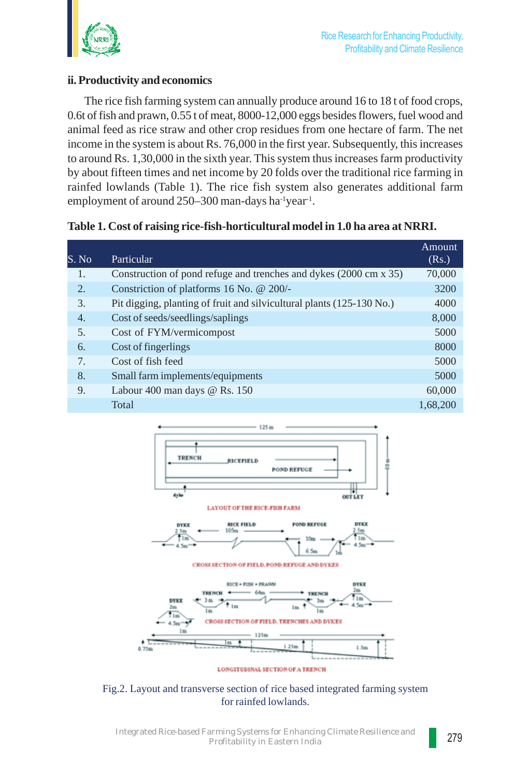

#### **ii. Productivity and economics**

The rice fish farming system can annually produce around 16 to 18 t of food crops, 0.6t of fish and prawn, 0.55 t of meat, 8000-12,000 eggs besides flowers, fuel wood and animal feed as rice straw and other crop residues from one hectare of farm. The net income in the system is about Rs. 76,000 in the first year. Subsequently, this increases to around Rs. 1,30,000 in the sixth year. This system thus increases farm productivity by about fifteen times and net income by 20 folds over the traditional rice farming in rainfed lowlands (Table 1). The rice fish system also generates additional farm employment of around 250–300 man-days ha<sup>-1</sup>year<sup>-1</sup>.

**Table 1. Cost of raising rice-fish-horticultural model in 1.0 ha area at NRRI.**

| S. No          | Particular                                                            | Amount<br>(Rs.) |
|----------------|-----------------------------------------------------------------------|-----------------|
| 1.             | Construction of pond refuge and trenches and dykes (2000 cm x 35)     | 70,000          |
| 2.5            | Constriction of platforms 16 No. @ 200/-                              | 3200            |
| 3.             | Pit digging, planting of fruit and silvicultural plants (125-130 No.) | 4000            |
| 4.             | Cost of seeds/seedlings/saplings                                      | 8,000           |
| 5.             | Cost of FYM/vermicompost                                              | 5000            |
| 6.             | Cost of fingerlings                                                   | 8000            |
| 7 <sub>1</sub> | Cost of fish feed                                                     | 5000            |
| 8.             | Small farm implements/equipments                                      | 5000            |
| 9.             | Labour 400 man days $@$ Rs. 150                                       | 60,000          |
|                | Total                                                                 | 1.68.200        |



Fig.2. Layout and transverse section of rice based integrated farming system for rainfed lowlands.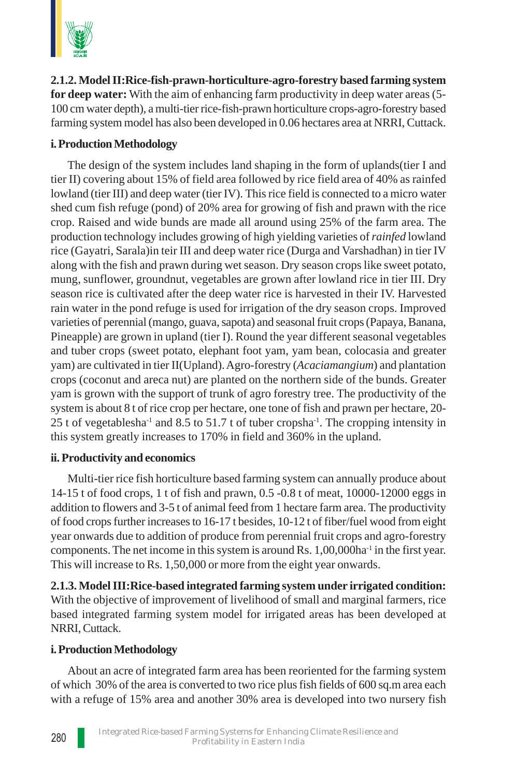

**2.1.2. Model II:Rice-fish-prawn-horticulture-agro-forestry based farming system for deep water:** With the aim of enhancing farm productivity in deep water areas (5- 100 cm water depth), a multi-tier rice-fish-prawn horticulture crops-agro-forestry based farming system model has also been developed in 0.06 hectares area at NRRI, Cuttack.

### **i. Production Methodology**

The design of the system includes land shaping in the form of uplands(tier I and tier II) covering about 15% of field area followed by rice field area of 40% as rainfed lowland (tier III) and deep water (tier IV). This rice field is connected to a micro water shed cum fish refuge (pond) of 20% area for growing of fish and prawn with the rice crop. Raised and wide bunds are made all around using 25% of the farm area. The production technology includes growing of high yielding varieties of *rainfed* lowland rice (Gayatri, Sarala)in teir III and deep water rice (Durga and Varshadhan) in tier IV along with the fish and prawn during wet season. Dry season crops like sweet potato, mung, sunflower, groundnut, vegetables are grown after lowland rice in tier III. Dry season rice is cultivated after the deep water rice is harvested in their IV. Harvested rain water in the pond refuge is used for irrigation of the dry season crops. Improved varieties of perennial (mango, guava, sapota) and seasonal fruit crops (Papaya, Banana, Pineapple) are grown in upland (tier I). Round the year different seasonal vegetables and tuber crops (sweet potato, elephant foot yam, yam bean, colocasia and greater yam) are cultivated in tier II(Upland). Agro-forestry (*Acaciamangium*) and plantation crops (coconut and areca nut) are planted on the northern side of the bunds. Greater yam is grown with the support of trunk of agro forestry tree. The productivity of the system is about 8 t of rice crop per hectare, one tone of fish and prawn per hectare, 20- 25 t of vegetablesha<sup>-1</sup> and 8.5 to 51.7 t of tuber cropsha<sup>-1</sup>. The cropping intensity in this system greatly increases to 170% in field and 360% in the upland.

### **ii. Productivity and economics**

Multi-tier rice fish horticulture based farming system can annually produce about 14-15 t of food crops, 1 t of fish and prawn, 0.5 -0.8 t of meat, 10000-12000 eggs in addition to flowers and 3-5 t of animal feed from 1 hectare farm area. The productivity of food crops further increases to 16-17 t besides, 10-12 t of fiber/fuel wood from eight year onwards due to addition of produce from perennial fruit crops and agro-forestry components. The net income in this system is around Rs. 1,00,000ha-1 in the first year. This will increase to Rs. 1,50,000 or more from the eight year onwards.

**2.1.3. Model III:Rice-based integrated farming system under irrigated condition:** With the objective of improvement of livelihood of small and marginal farmers, rice based integrated farming system model for irrigated areas has been developed at NRRI, Cuttack.

### **i. Production Methodology**

About an acre of integrated farm area has been reoriented for the farming system of which 30% of the area is converted to two rice plus fish fields of 600 sq.m area each with a refuge of 15% area and another 30% area is developed into two nursery fish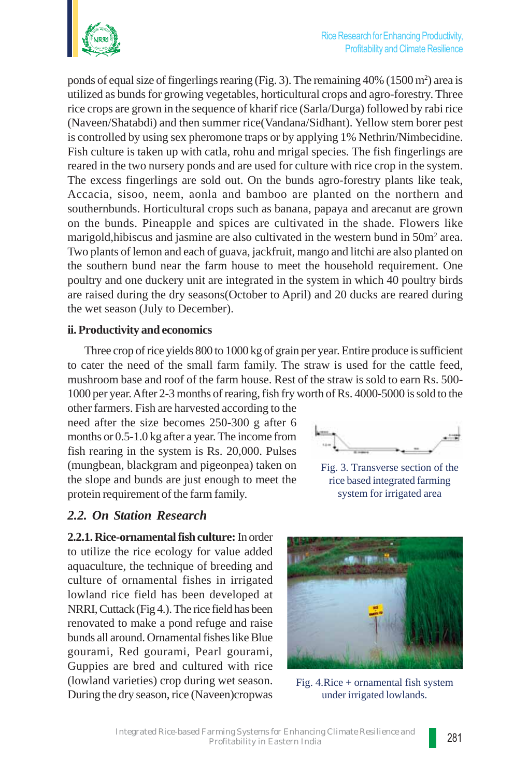

ponds of equal size of fingerlings rearing (Fig. 3). The remaining 40% (1500 m<sup>2</sup>) area is utilized as bunds for growing vegetables, horticultural crops and agro-forestry. Three rice crops are grown in the sequence of kharif rice (Sarla/Durga) followed by rabi rice (Naveen/Shatabdi) and then summer rice(Vandana/Sidhant). Yellow stem borer pest is controlled by using sex pheromone traps or by applying 1% Nethrin/Nimbecidine. Fish culture is taken up with catla, rohu and mrigal species. The fish fingerlings are reared in the two nursery ponds and are used for culture with rice crop in the system. The excess fingerlings are sold out. On the bunds agro-forestry plants like teak, Accacia, sisoo, neem, aonla and bamboo are planted on the northern and southernbunds. Horticultural crops such as banana, papaya and arecanut are grown on the bunds. Pineapple and spices are cultivated in the shade. Flowers like marigold, hibiscus and jasmine are also cultivated in the western bund in 50m<sup>2</sup> area. Two plants of lemon and each of guava, jackfruit, mango and litchi are also planted on the southern bund near the farm house to meet the household requirement. One poultry and one duckery unit are integrated in the system in which 40 poultry birds are raised during the dry seasons(October to April) and 20 ducks are reared during the wet season (July to December).

#### **ii. Productivity and economics**

Three crop of rice yields 800 to 1000 kg of grain per year. Entire produce is sufficient to cater the need of the small farm family. The straw is used for the cattle feed, mushroom base and roof of the farm house. Rest of the straw is sold to earn Rs. 500- 1000 per year. After 2-3 months of rearing, fish fry worth of Rs. 4000-5000 is sold to the

other farmers. Fish are harvested according to the need after the size becomes 250-300 g after 6 months or 0.5-1.0 kg after a year. The income from fish rearing in the system is Rs. 20,000. Pulses (mungbean, blackgram and pigeonpea) taken on the slope and bunds are just enough to meet the protein requirement of the farm family.

### *2.2. On Station Research*

**2.2.1. Rice-ornamental fish culture:** In order to utilize the rice ecology for value added aquaculture, the technique of breeding and culture of ornamental fishes in irrigated lowland rice field has been developed at NRRI, Cuttack (Fig 4.). The rice field has been renovated to make a pond refuge and raise bunds all around. Ornamental fishes like Blue gourami, Red gourami, Pearl gourami, Guppies are bred and cultured with rice (lowland varieties) crop during wet season. During the dry season, rice (Naveen)cropwas



Fig. 3. Transverse section of the rice based integrated farming system for irrigated area

Fig. 4.Rice + ornamental fish system under irrigated lowlands.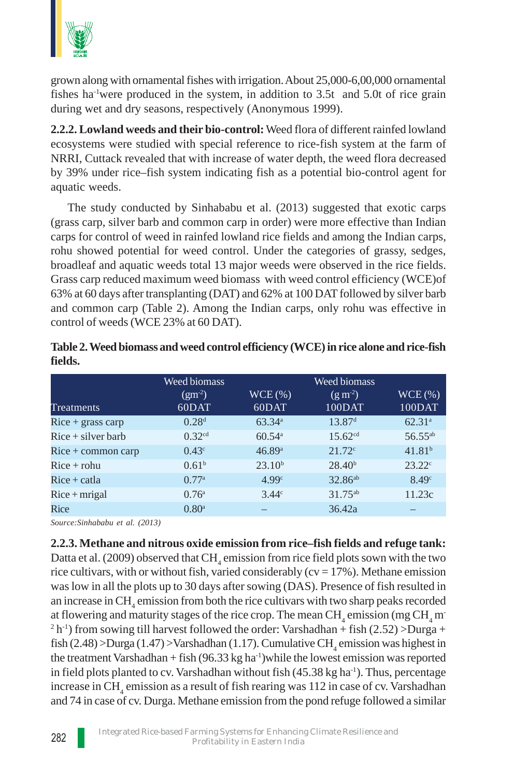

grown along with ornamental fishes with irrigation. About 25,000-6,00,000 ornamental fishes ha-1were produced in the system, in addition to 3.5t and 5.0t of rice grain during wet and dry seasons, respectively (Anonymous 1999).

**2.2.2. Lowland weeds and their bio-control:** Weed flora of different rainfed lowland ecosystems were studied with special reference to rice-fish system at the farm of NRRI, Cuttack revealed that with increase of water depth, the weed flora decreased by 39% under rice–fish system indicating fish as a potential bio-control agent for aquatic weeds.

The study conducted by Sinhababu et al. (2013) suggested that exotic carps (grass carp, silver barb and common carp in order) were more effective than Indian carps for control of weed in rainfed lowland rice fields and among the Indian carps, rohu showed potential for weed control. Under the categories of grassy, sedges, broadleaf and aquatic weeds total 13 major weeds were observed in the rice fields. Grass carp reduced maximum weed biomass with weed control efficiency (WCE)of 63% at 60 days after transplanting (DAT) and 62% at 100 DAT followed by silver barb and common carp (Table 2). Among the Indian carps, only rohu was effective in control of weeds (WCE 23% at 60 DAT).

|                      | Weed biomass        |                      | Weed biomass        |                     |
|----------------------|---------------------|----------------------|---------------------|---------------------|
|                      | $(gm^{-2})$         | WCE(%)               | $(g m-2)$           | WCE(%)              |
| Treatments           | 60DAT               | 60DAT                | 100DAT              | 100DAT              |
| $Rice + grass carp$  | 0.28 <sup>d</sup>   | 63.34a               | 13.87 <sup>d</sup>  | $62.31^{a}$         |
| $Rice + silver barb$ | 0.32 <sup>cd</sup>  | $60.54$ <sup>a</sup> | $15.62^{cd}$        | 56.55 <sup>ab</sup> |
| $Rice + common carp$ | 0.43 <sup>c</sup>   | 46.89a               | 21.72c              | 41.81 <sup>b</sup>  |
| $Rice + rohu$        | 0.61 <sup>b</sup>   | 23.10 <sup>b</sup>   | 28.40 <sup>b</sup>  | $23.22^{\circ}$     |
| $Rice + catala$      | 0.77a               | 4.99c                | 32.86 <sup>ab</sup> | 8.49 <sup>c</sup>   |
| $Rice + mrigal$      | 0.76 <sup>a</sup>   | $3.44^{\circ}$       | 31.75 <sup>ab</sup> | 11.23c              |
| Rice                 | $0.80$ <sup>a</sup> |                      | 36.42a              |                     |

|         | Table 2. Weed biomass and weed control efficiency (WCE) in rice alone and rice-fish |  |  |
|---------|-------------------------------------------------------------------------------------|--|--|
| fields. |                                                                                     |  |  |

*Source:Sinhababu et al. (2013)*

**2.2.3. Methane and nitrous oxide emission from rice–fish fields and refuge tank:** Datta et al. (2009) observed that  $\text{CH}_4$  emission from rice field plots sown with the two rice cultivars, with or without fish, varied considerably ( $cv = 17\%$ ). Methane emission was low in all the plots up to 30 days after sowing (DAS). Presence of fish resulted in an increase in  $\mathrm{CH}_4$  emission from both the rice cultivars with two sharp peaks recorded at flowering and maturity stages of the rice crop. The mean  $\rm CH_{_4}$  emission (mg  $\rm CH_{_4}$  m  $^{2}$  h<sup>-1</sup>) from sowing till harvest followed the order: Varshadhan + fish (2.52) > Durga + fish (2.48) > Durga (1.47) > Varshadhan (1.17). Cumulative  $\text{CH}_4$  emission was highest in the treatment Varshadhan + fish  $(96.33 \text{ kg ha}^{-1})$ while the lowest emission was reported in field plots planted to cv. Varshadhan without fish  $(45.38 \text{ kg ha}^{-1})$ . Thus, percentage increase in  $\text{CH}_4$  emission as a result of fish rearing was 112 in case of cv. Varshadhan and 74 in case of cv. Durga. Methane emission from the pond refuge followed a similar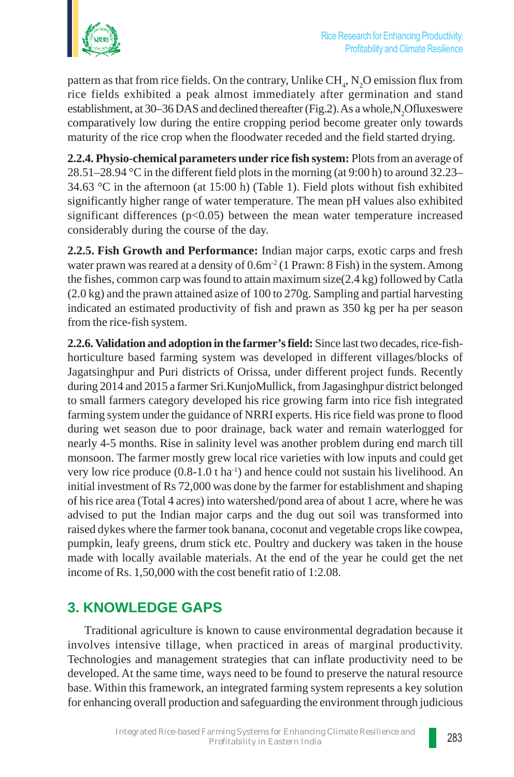

pattern as that from rice fields. On the contrary, Unlike  $\rm CH_{4}$ ,  $\rm N_{2}O$  emission flux from rice fields exhibited a peak almost immediately after germination and stand establishment, at 30–36 DAS and declined thereafter (Fig.2). As a whole, N<sub>2</sub>Ofluxeswere comparatively low during the entire cropping period become greater only towards maturity of the rice crop when the floodwater receded and the field started drying.

**2.2.4. Physio-chemical parameters under rice fish system:** Plots from an average of 28.51–28.94 °C in the different field plots in the morning (at 9:00 h) to around 32.23– 34.63 °C in the afternoon (at 15:00 h) (Table 1). Field plots without fish exhibited significantly higher range of water temperature. The mean pH values also exhibited significant differences ( $p<0.05$ ) between the mean water temperature increased considerably during the course of the day.

**2.2.5. Fish Growth and Performance:** Indian major carps, exotic carps and fresh water prawn was reared at a density of  $0.6m<sup>2</sup>$  (1 Prawn: 8 Fish) in the system. Among the fishes, common carp was found to attain maximum size(2.4 kg) followed by Catla (2.0 kg) and the prawn attained asize of 100 to 270g. Sampling and partial harvesting indicated an estimated productivity of fish and prawn as 350 kg per ha per season from the rice-fish system.

**2.2.6. Validation and adoption in the farmer's field:** Since last two decades, rice-fishhorticulture based farming system was developed in different villages/blocks of Jagatsinghpur and Puri districts of Orissa, under different project funds. Recently during 2014 and 2015 a farmer Sri.KunjoMullick, from Jagasinghpur district belonged to small farmers category developed his rice growing farm into rice fish integrated farming system under the guidance of NRRI experts. His rice field was prone to flood during wet season due to poor drainage, back water and remain waterlogged for nearly 4-5 months. Rise in salinity level was another problem during end march till monsoon. The farmer mostly grew local rice varieties with low inputs and could get very low rice produce (0.8-1.0 t ha<sup>-1</sup>) and hence could not sustain his livelihood. An initial investment of Rs 72,000 was done by the farmer for establishment and shaping of his rice area (Total 4 acres) into watershed/pond area of about 1 acre, where he was advised to put the Indian major carps and the dug out soil was transformed into raised dykes where the farmer took banana, coconut and vegetable crops like cowpea, pumpkin, leafy greens, drum stick etc. Poultry and duckery was taken in the house made with locally available materials. At the end of the year he could get the net income of Rs. 1,50,000 with the cost benefit ratio of 1:2.08.

## **3. KNOWLEDGE GAPS**

Traditional agriculture is known to cause environmental degradation because it involves intensive tillage, when practiced in areas of marginal productivity. Technologies and management strategies that can inflate productivity need to be developed. At the same time, ways need to be found to preserve the natural resource base. Within this framework, an integrated farming system represents a key solution for enhancing overall production and safeguarding the environment through judicious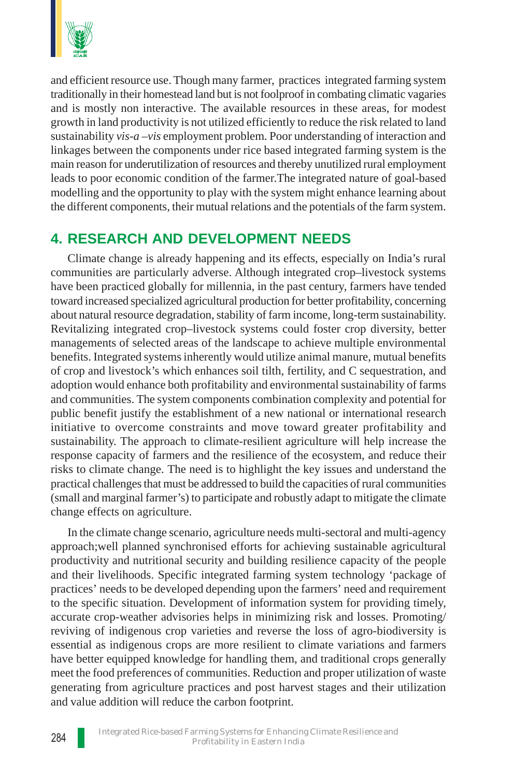

and efficient resource use. Though many farmer, practices integrated farming system traditionally in their homestead land but is not foolproof in combating climatic vagaries and is mostly non interactive. The available resources in these areas, for modest growth in land productivity is not utilized efficiently to reduce the risk related to land sustainability *vis-a –vis* employment problem. Poor understanding of interaction and linkages between the components under rice based integrated farming system is the main reason for underutilization of resources and thereby unutilized rural employment leads to poor economic condition of the farmer.The integrated nature of goal-based modelling and the opportunity to play with the system might enhance learning about the different components, their mutual relations and the potentials of the farm system.

## **4. RESEARCH AND DEVELOPMENT NEEDS**

Climate change is already happening and its effects, especially on India's rural communities are particularly adverse. Although integrated crop–livestock systems have been practiced globally for millennia, in the past century, farmers have tended toward increased specialized agricultural production for better profitability, concerning about natural resource degradation, stability of farm income, long-term sustainability. Revitalizing integrated crop–livestock systems could foster crop diversity, better managements of selected areas of the landscape to achieve multiple environmental benefits. Integrated systems inherently would utilize animal manure, mutual benefits of crop and livestock's which enhances soil tilth, fertility, and C sequestration, and adoption would enhance both profitability and environmental sustainability of farms and communities. The system components combination complexity and potential for public benefit justify the establishment of a new national or international research initiative to overcome constraints and move toward greater profitability and sustainability. The approach to climate-resilient agriculture will help increase the response capacity of farmers and the resilience of the ecosystem, and reduce their risks to climate change. The need is to highlight the key issues and understand the practical challenges that must be addressed to build the capacities of rural communities (small and marginal farmer's) to participate and robustly adapt to mitigate the climate change effects on agriculture.

In the climate change scenario, agriculture needs multi-sectoral and multi-agency approach;well planned synchronised efforts for achieving sustainable agricultural productivity and nutritional security and building resilience capacity of the people and their livelihoods. Specific integrated farming system technology 'package of practices' needs to be developed depending upon the farmers' need and requirement to the specific situation. Development of information system for providing timely, accurate crop-weather advisories helps in minimizing risk and losses. Promoting/ reviving of indigenous crop varieties and reverse the loss of agro-biodiversity is essential as indigenous crops are more resilient to climate variations and farmers have better equipped knowledge for handling them, and traditional crops generally meet the food preferences of communities. Reduction and proper utilization of waste generating from agriculture practices and post harvest stages and their utilization and value addition will reduce the carbon footprint.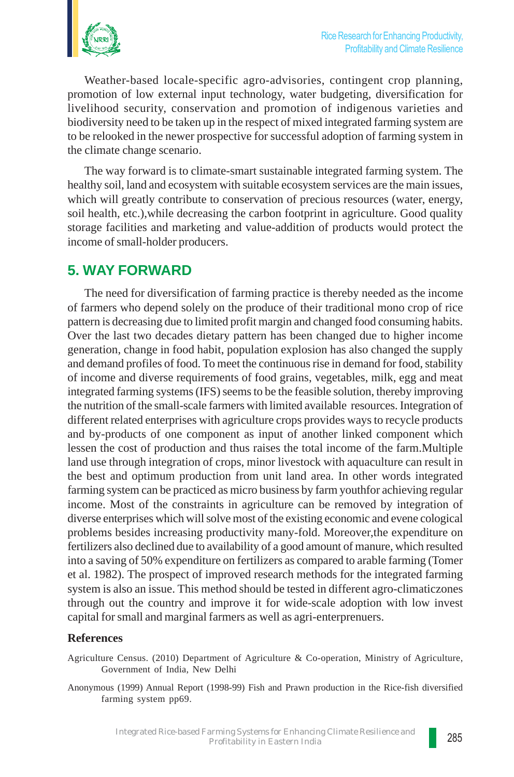Weather-based locale-specific agro-advisories, contingent crop planning, promotion of low external input technology, water budgeting, diversification for livelihood security, conservation and promotion of indigenous varieties and biodiversity need to be taken up in the respect of mixed integrated farming system are to be relooked in the newer prospective for successful adoption of farming system in the climate change scenario.

The way forward is to climate-smart sustainable integrated farming system. The healthy soil, land and ecosystem with suitable ecosystem services are the main issues, which will greatly contribute to conservation of precious resources (water, energy, soil health, etc.),while decreasing the carbon footprint in agriculture. Good quality storage facilities and marketing and value-addition of products would protect the income of small-holder producers.

# **5. WAY FORWARD**

The need for diversification of farming practice is thereby needed as the income of farmers who depend solely on the produce of their traditional mono crop of rice pattern is decreasing due to limited profit margin and changed food consuming habits. Over the last two decades dietary pattern has been changed due to higher income generation, change in food habit, population explosion has also changed the supply and demand profiles of food. To meet the continuous rise in demand for food, stability of income and diverse requirements of food grains, vegetables, milk, egg and meat integrated farming systems (IFS) seems to be the feasible solution, thereby improving the nutrition of the small-scale farmers with limited available resources. Integration of different related enterprises with agriculture crops provides ways to recycle products and by-products of one component as input of another linked component which lessen the cost of production and thus raises the total income of the farm.Multiple land use through integration of crops, minor livestock with aquaculture can result in the best and optimum production from unit land area. In other words integrated farming system can be practiced as micro business by farm youthfor achieving regular income. Most of the constraints in agriculture can be removed by integration of diverse enterprises which will solve most of the existing economic and evene cological problems besides increasing productivity many-fold. Moreover,the expenditure on fertilizers also declined due to availability of a good amount of manure, which resulted into a saving of 50% expenditure on fertilizers as compared to arable farming (Tomer et al. 1982). The prospect of improved research methods for the integrated farming system is also an issue. This method should be tested in different agro-climaticzones through out the country and improve it for wide-scale adoption with low invest capital for small and marginal farmers as well as agri-enterprenuers.

### **References**

- Agriculture Census. (2010) Department of Agriculture & Co-operation, Ministry of Agriculture, Government of India, New Delhi
- Anonymous (1999) Annual Report (1998-99) Fish and Prawn production in the Rice-fish diversified farming system pp69.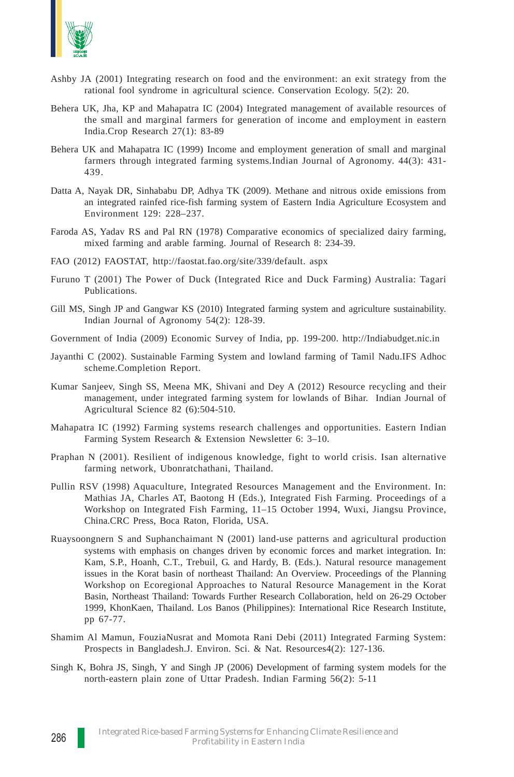

- Ashby JA (2001) Integrating research on food and the environment: an exit strategy from the rational fool syndrome in agricultural science. Conservation Ecology. 5(2): 20.
- Behera UK, Jha, KP and Mahapatra IC (2004) Integrated management of available resources of the small and marginal farmers for generation of income and employment in eastern India.Crop Research 27(1): 83-89
- Behera UK and Mahapatra IC (1999) Income and employment generation of small and marginal farmers through integrated farming systems*.*Indian Journal of Agronomy. 44(3): 431- 439.
- Datta A, Nayak DR, Sinhababu DP, Adhya TK (2009). Methane and nitrous oxide emissions from an integrated rainfed rice-fish farming system of Eastern India Agriculture Ecosystem and Environment 129: 228–237.
- Faroda AS, Yadav RS and Pal RN (1978) Comparative economics of specialized dairy farming, mixed farming and arable farming. Journal of Research 8: 234-39.
- FAO (2012) FAOSTAT, http://faostat.fao.org/site/339/default. aspx
- Furuno T (2001) The Power of Duck (Integrated Rice and Duck Farming) Australia: Tagari Publications.
- Gill MS, Singh JP and Gangwar KS (2010) Integrated farming system and agriculture sustainability. Indian Journal of Agronomy 54(2): 128-39.
- Government of India (2009) Economic Survey of India, pp. 199-200. http://Indiabudget.nic.in
- Jayanthi C (2002). Sustainable Farming System and lowland farming of Tamil Nadu.IFS Adhoc scheme.Completion Report.
- Kumar Sanjeev, Singh SS, Meena MK, Shivani and Dey A (2012) Resource recycling and their management, under integrated farming system for lowlands of Bihar. Indian Journal of Agricultural Science 82 (6):504-510.
- Mahapatra IC (1992) Farming systems research challenges and opportunities. Eastern Indian Farming System Research & Extension Newsletter 6: 3–10.
- Praphan N (2001). Resilient of indigenous knowledge, fight to world crisis. Isan alternative farming network, Ubonratchathani, Thailand.
- Pullin RSV (1998) Aquaculture, Integrated Resources Management and the Environment. In: Mathias JA, Charles AT, Baotong H (Eds.), Integrated Fish Farming. Proceedings of a Workshop on Integrated Fish Farming, 11–15 October 1994, Wuxi, Jiangsu Province, China.CRC Press, Boca Raton, Florida, USA.
- Ruaysoongnern S and Suphanchaimant N (2001) land-use patterns and agricultural production systems with emphasis on changes driven by economic forces and market integration. In: Kam, S.P., Hoanh, C.T., Trebuil, G. and Hardy, B. (Eds.). Natural resource management issues in the Korat basin of northeast Thailand: An Overview. Proceedings of the Planning Workshop on Ecoregional Approaches to Natural Resource Management in the Korat Basin, Northeast Thailand: Towards Further Research Collaboration, held on 26-29 October 1999, KhonKaen, Thailand. Los Banos (Philippines): International Rice Research Institute, pp 67-77.
- Shamim Al Mamun, FouziaNusrat and Momota Rani Debi (2011) Integrated Farming System: Prospects in Bangladesh.J. Environ. Sci. & Nat. Resources4(2): 127-136.
- Singh K, Bohra JS, Singh, Y and Singh JP (2006) Development of farming system models for the north-eastern plain zone of Uttar Pradesh. Indian Farming 56(2): 5-11